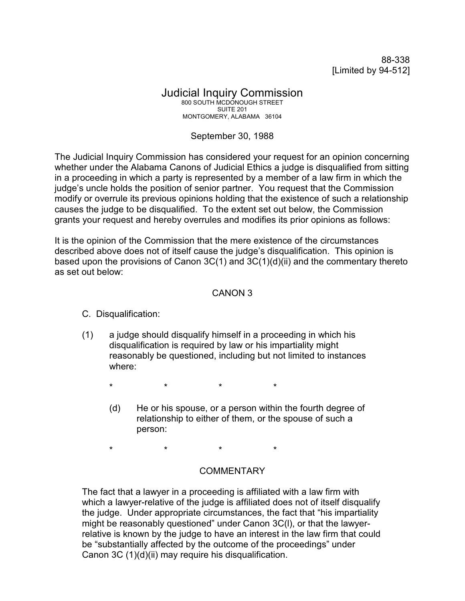88-338 [Limited by 94-512]

#### Judicial Inquiry Commission 800 SOUTH MCDONOUGH STREET SUITE 201 MONTGOMERY, ALABAMA 36104

# September 30, 1988

The Judicial Inquiry Commission has considered your request for an opinion concerning whether under the Alabama Canons of Judicial Ethics a judge is disqualified from sitting in a proceeding in which a party is represented by a member of a law firm in which the judge's uncle holds the position of senior partner. You request that the Commission modify or overrule its previous opinions holding that the existence of such a relationship causes the judge to be disqualified. To the extent set out below, the Commission grants your request and hereby overrules and modifies its prior opinions as follows:

It is the opinion of the Commission that the mere existence of the circumstances described above does not of itself cause the judge's disqualification. This opinion is based upon the provisions of Canon  $3C(1)$  and  $3C(1)(d)(ii)$  and the commentary thereto as set out below:

## CANON 3

### C. Disqualification:

(1) a judge should disqualify himself in a proceeding in which his disqualification is required by law or his impartiality might reasonably be questioned, including but not limited to instances where:

\* \* \* \*

(d) He or his spouse, or a person within the fourth degree of relationship to either of them, or the spouse of such a person:

\* \* \* \*

## COMMENTARY

The fact that a lawyer in a proceeding is affiliated with a law firm with which a lawyer-relative of the judge is affiliated does not of itself disqualify the judge. Under appropriate circumstances, the fact that "his impartiality might be reasonably questioned" under Canon 3C(l), or that the lawyerrelative is known by the judge to have an interest in the law firm that could be "substantially affected by the outcome of the proceedings" under Canon 3C (1)(d)(ii) may require his disqualification.